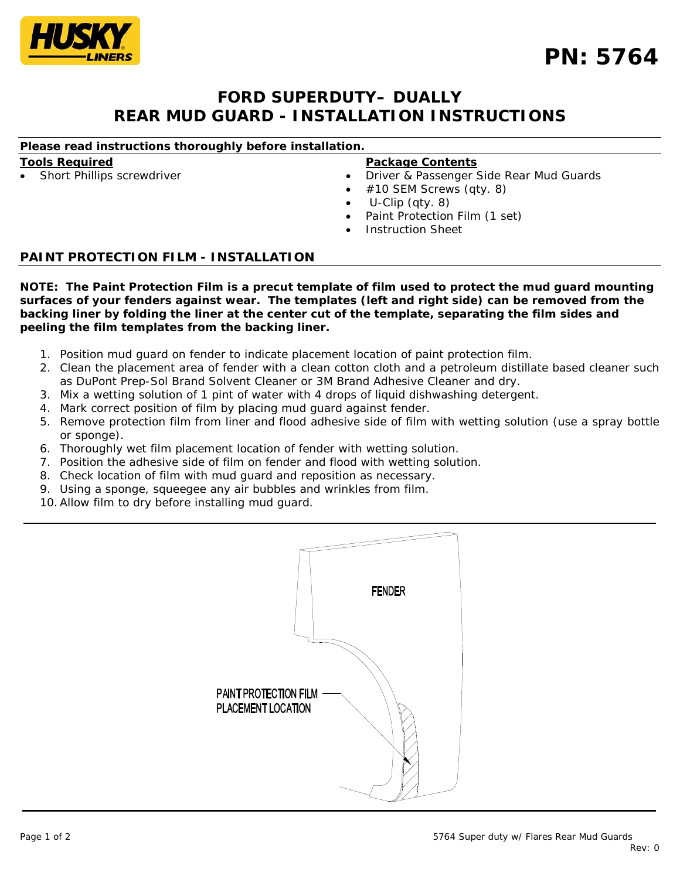

# **FORD SUPERDUTY– DUALLY REAR MUD GUARD - INSTALLATION INSTRUCTIONS**

# *Please read instructions thoroughly before installation.*

### **Tools Required**

Short Phillips screwdriver

### **Package Contents**

- Driver & Passenger Side Rear Mud Guards
- #10 SEM Screws (qty. 8)
- U-Clip (qty. 8)
- Paint Protection Film (1 set)
- Instruction Sheet

# **PAINT PROTECTION FILM - INSTALLATION**

*NOTE: The Paint Protection Film is a precut template of film used to protect the mud guard mounting surfaces of your fenders against wear. The templates (left and right side) can be removed from the backing liner by folding the liner at the center cut of the template, separating the film sides and peeling the film templates from the backing liner.*

- 1. Position mud guard on fender to indicate placement location of paint protection film.
- 2. Clean the placement area of fender with a clean cotton cloth and a petroleum distillate based cleaner such as DuPont Prep-Sol Brand Solvent Cleaner or 3M Brand Adhesive Cleaner and dry.
- 3. Mix a wetting solution of 1 pint of water with 4 drops of liquid dishwashing detergent.
- 4. Mark correct position of film by placing mud guard against fender.
- 5. Remove protection film from liner and flood adhesive side of film with wetting solution (use a spray bottle or sponge).
- 6. Thoroughly wet film placement location of fender with wetting solution.
- 7. Position the adhesive side of film on fender and flood with wetting solution.
- 8. Check location of film with mud guard and reposition as necessary.
- 9. Using a sponge, squeegee any air bubbles and wrinkles from film.
- 10.Allow film to dry before installing mud guard.